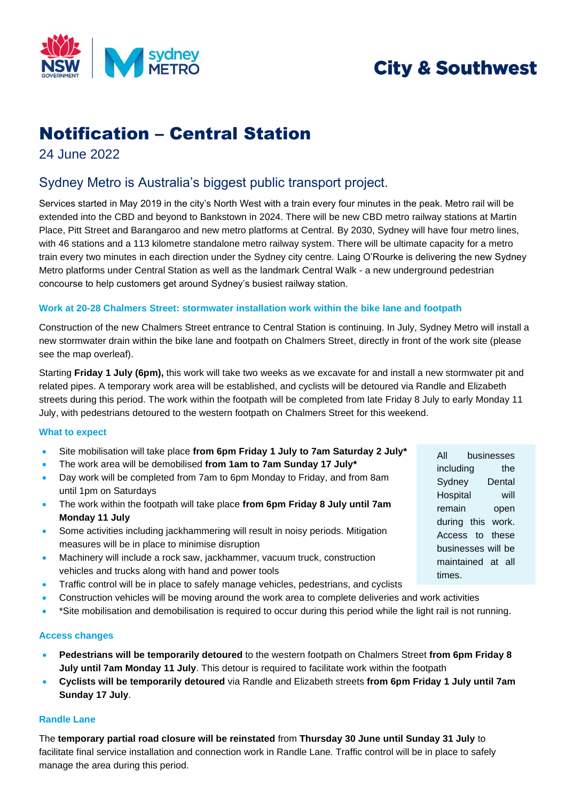

# **City & Southwest**

# Notification – Central Station

24 June 2022

## Sydney Metro is Australia's biggest public transport project.

Services started in May 2019 in the city's North West with a train every four minutes in the peak. Metro rail will be extended into the CBD and beyond to Bankstown in 2024. There will be new CBD metro railway stations at Martin Place, Pitt Street and Barangaroo and new metro platforms at Central. By 2030, Sydney will have four metro lines, with 46 stations and a 113 kilometre standalone metro railway system. There will be ultimate capacity for a metro train every two minutes in each direction under the Sydney city centre. Laing O'Rourke is delivering the new Sydney Metro platforms under Central Station as well as the landmark Central Walk - a new underground pedestrian concourse to help customers get around Sydney's busiest railway station.

### **Work at 20-28 Chalmers Street: stormwater installation work within the bike lane and footpath**

Construction of the new Chalmers Street entrance to Central Station is continuing. In July, Sydney Metro will install a new stormwater drain within the bike lane and footpath on Chalmers Street, directly in front of the work site (please see the map overleaf).

Starting **Friday 1 July (6pm),** this work will take two weeks as we excavate for and install a new stormwater pit and related pipes. A temporary work area will be established, and cyclists will be detoured via Randle and Elizabeth streets during this period. The work within the footpath will be completed from late Friday 8 July to early Monday 11 July, with pedestrians detoured to the western footpath on Chalmers Street for this weekend.

### **What to expect**

- Site mobilisation will take place **from 6pm Friday 1 July to 7am Saturday 2 July\***
- The work area will be demobilised **from 1am to 7am Sunday 17 July\***
- Day work will be completed from 7am to 6pm Monday to Friday, and from 8am until 1pm on Saturdays
- The work within the footpath will take place **from 6pm Friday 8 July until 7am Monday 11 July**
- Some activities including jackhammering will result in noisy periods. Mitigation measures will be in place to minimise disruption
- Machinery will include a rock saw, jackhammer, vacuum truck, construction vehicles and trucks along with hand and power tools
- Traffic control will be in place to safely manage vehicles, pedestrians, and cyclists
- Construction vehicles will be moving around the work area to complete deliveries and work activities
- \*Site mobilisation and demobilisation is required to occur during this period while the light rail is not running.

### **Access changes**

- **Pedestrians will be temporarily detoured** to the western footpath on Chalmers Street **from 6pm Friday 8 July until 7am Monday 11 July**. This detour is required to facilitate work within the footpath
- **Cyclists will be temporarily detoured** via Randle and Elizabeth streets **from 6pm Friday 1 July until 7am Sunday 17 July**.

### **Randle Lane**

The **temporary partial road closure will be reinstated** from **Thursday 30 June until Sunday 31 July** to facilitate final service installation and connection work in Randle Lane. Traffic control will be in place to safely manage the area during this period.

All businesses including the Sydney Dental Hospital will remain open during this work. Access to these businesses will be maintained at all times.